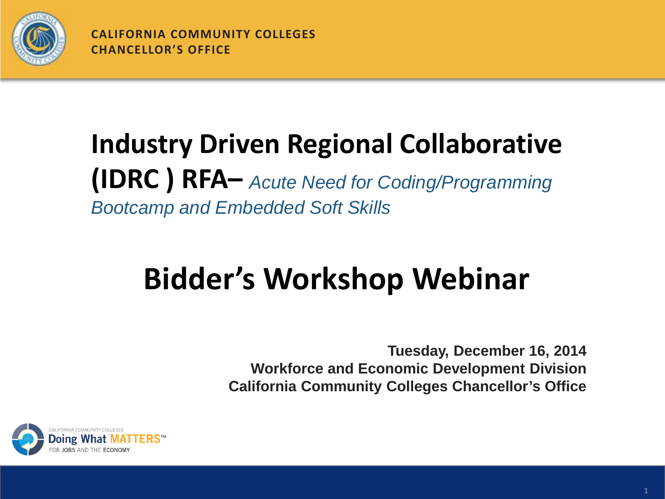

**CALIFORNIA COMMUNITY COLLEGES CHANCELLOR'S OFFICE**

#### **Industry Driven Regional Collaborative (IDRC ) RFA–** *Acute Need for Coding/Programming Bootcamp and Embedded Soft Skills*

## **Bidder's Workshop Webinar**

**Tuesday, December 16, 2014 Workforce and Economic Development Division California Community Colleges Chancellor's Office**

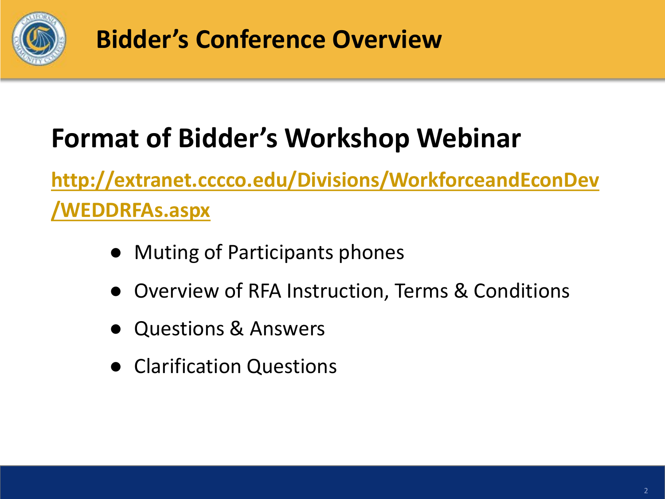

**Bidder's Conference Overview**

### **Format of Bidder's Workshop Webinar**

**[http://extranet.cccco.edu/Divisions/WorkforceandEconDev](http://extranet.cccco.edu/Divisions/WorkforceandEconDev/WEDDRFAs.aspx) [/WEDDRFAs.aspx](http://extranet.cccco.edu/Divisions/WorkforceandEconDev/WEDDRFAs.aspx)**

- Muting of Participants phones
- Overview of RFA Instruction, Terms & Conditions
- Questions & Answers
- Clarification Questions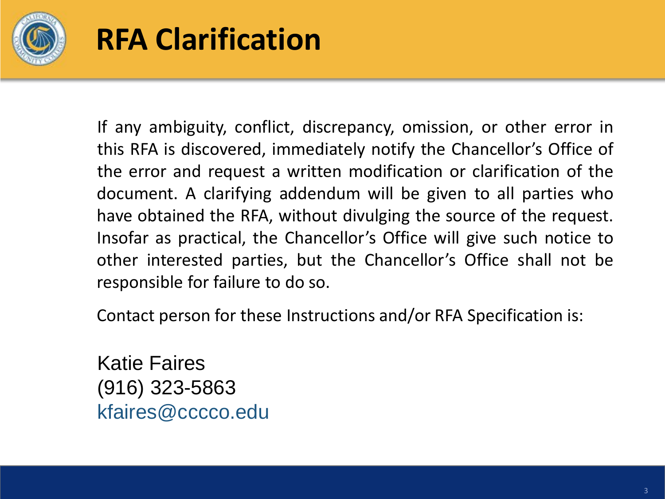

### **RFA Clarification**

If any ambiguity, conflict, discrepancy, omission, or other error in this RFA is discovered, immediately notify the Chancellor's Office of the error and request a written modification or clarification of the document. A clarifying addendum will be given to all parties who have obtained the RFA, without divulging the source of the request. Insofar as practical, the Chancellor's Office will give such notice to other interested parties, but the Chancellor's Office shall not be responsible for failure to do so.

Contact person for these Instructions and/or RFA Specification is:

Katie Faires (916) 323-5863 kfaires@cccco.edu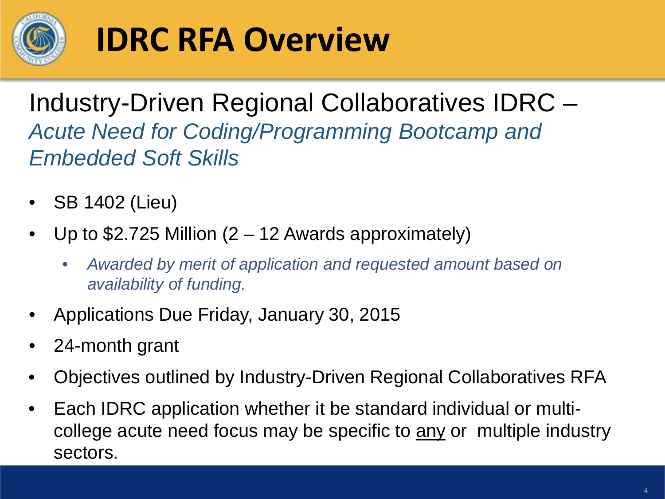

# **IDRC RFA Overview**

Industry-Driven Regional Collaboratives IDRC – *Acute Need for Coding/Programming Bootcamp and Embedded Soft Skills*

- SB 1402 (Lieu)
- Up to  $$2.725$  Million (2 12 Awards approximately)
	- *Awarded by merit of application and requested amount based on availability of funding.*
- Applications Due Friday, January 30, 2015
- 24-month grant
- Objectives outlined by Industry-Driven Regional Collaboratives RFA
- Each IDRC application whether it be standard individual or multicollege acute need focus may be specific to any or multiple industry sectors.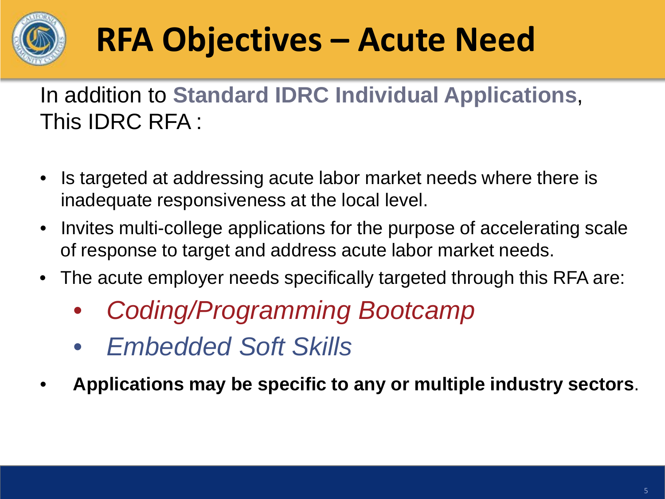

# **RFA Objectives – Acute Need**

In addition to **Standard IDRC Individual Applications**, This IDRC RFA :

- Is targeted at addressing acute labor market needs where there is inadequate responsiveness at the local level.
- Invites multi-college applications for the purpose of accelerating scale of response to target and address acute labor market needs.
- The acute employer needs specifically targeted through this RFA are:
	- *Coding/Programming Bootcamp*
	- *Embedded Soft Skills*
- **Applications may be specific to any or multiple industry sectors**.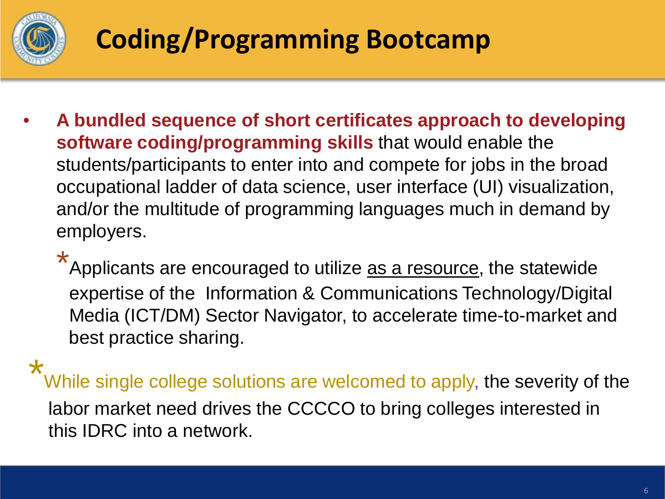

### **Coding/Programming Bootcamp**

• **A bundled sequence of short certificates approach to developing software coding/programming skills** that would enable the students/participants to enter into and compete for jobs in the broad occupational ladder of data science, user interface (UI) visualization, and/or the multitude of programming languages much in demand by employers.

 $\star$ 

Applicants are encouraged to utilize as a resource, the statewide expertise of the Information & Communications Technology/Digital Media (ICT/DM) Sector Navigator, to accelerate time-to-market and best practice sharing.

\*

While single college solutions are welcomed to apply, the severity of the labor market need drives the CCCCO to bring colleges interested in this IDRC into a network.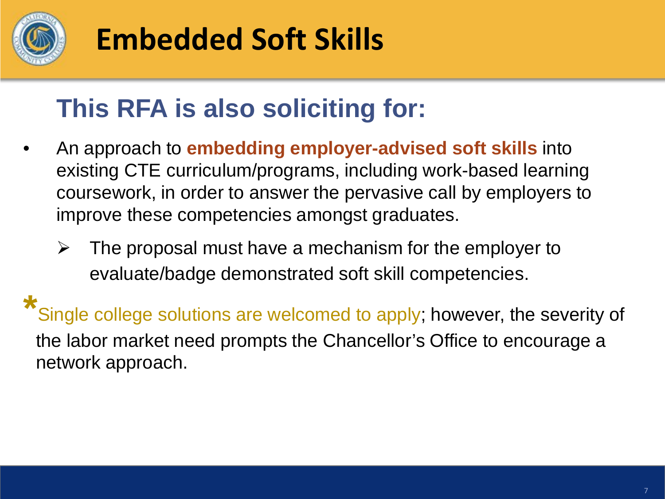

## **Embedded Soft Skills**

#### **This RFA is also soliciting for:**

- An approach to **embedding employer-advised soft skills** into existing CTE curriculum/programs, including work-based learning coursework, in order to answer the pervasive call by employers to improve these competencies amongst graduates.
	- $\triangleright$  The proposal must have a mechanism for the employer to evaluate/badge demonstrated soft skill competencies.

**\*** Single college solutions are welcomed to apply; however, the severity of the labor market need prompts the Chancellor's Office to encourage a network approach.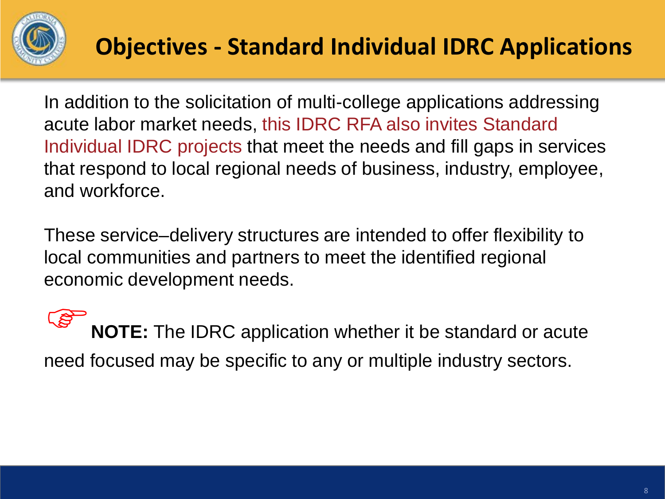

In addition to the solicitation of multi-college applications addressing acute labor market needs, this IDRC RFA also invites Standard Individual IDRC projects that meet the needs and fill gaps in services that respond to local regional needs of business, industry, employee, and workforce.

These service–delivery structures are intended to offer flexibility to local communities and partners to meet the identified regional economic development needs.

**NOTE:** The IDRC application whether it be standard or acute need focused may be specific to any or multiple industry sectors.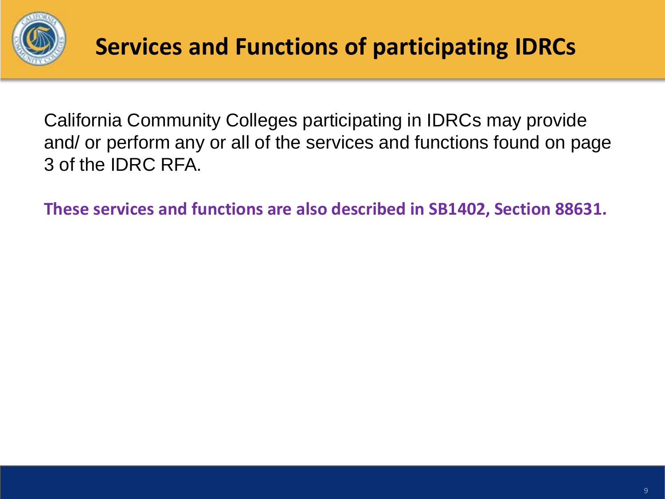

California Community Colleges participating in IDRCs may provide and/ or perform any or all of the services and functions found on page 3 of the IDRC RFA.

**These services and functions are also described in SB1402, Section 88631.**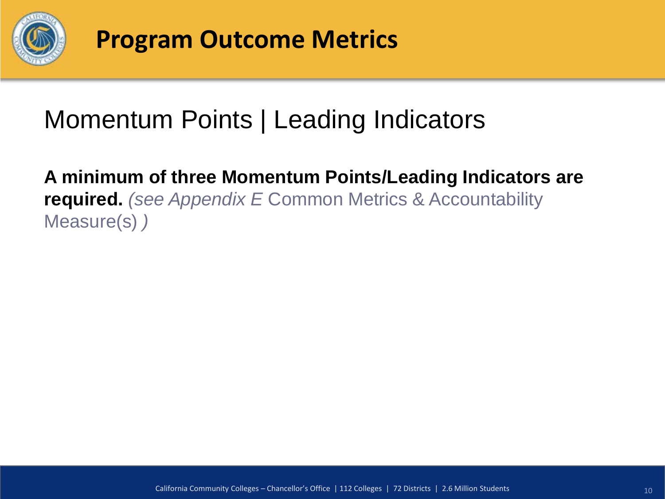

#### Momentum Points | Leading Indicators

**A minimum of three Momentum Points/Leading Indicators are required.** *(see Appendix E* Common Metrics & Accountability Measure(s) *)*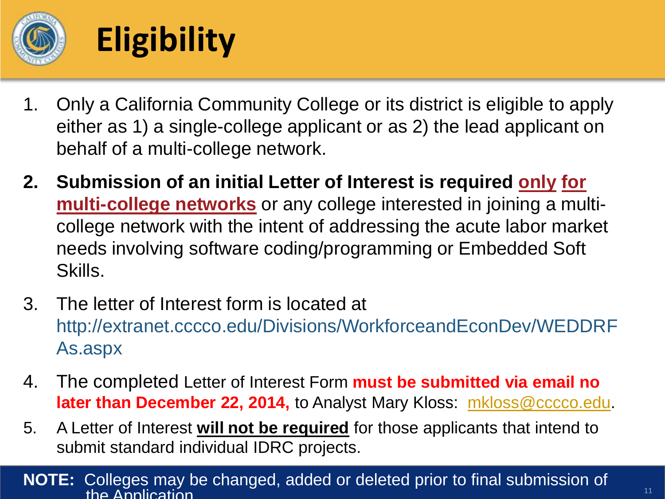

# **Eligibility**

- 1. Only a California Community College or its district is eligible to apply either as 1) a single-college applicant or as 2) the lead applicant on behalf of a multi-college network.
- **2. Submission of an initial Letter of Interest is required only for multi-college networks** or any college interested in joining a multicollege network with the intent of addressing the acute labor market needs involving software coding/programming or Embedded Soft Skills.
- 3. The letter of Interest form is located at http://extranet.cccco.edu/Divisions/WorkforceandEconDev/WEDDRF As.aspx
- 4. The completed Letter of Interest Form **must be submitted via email no later than December 22, 2014,** to Analyst Mary Kloss: [mkloss@cccco.edu](mailto:mkloss@cccco.edu).
- 5. A Letter of Interest **will not be required** for those applicants that intend to submit standard individual IDRC projects.

#### **NOTE:** Colleges may be changed, added or deleted prior to final submission of the Application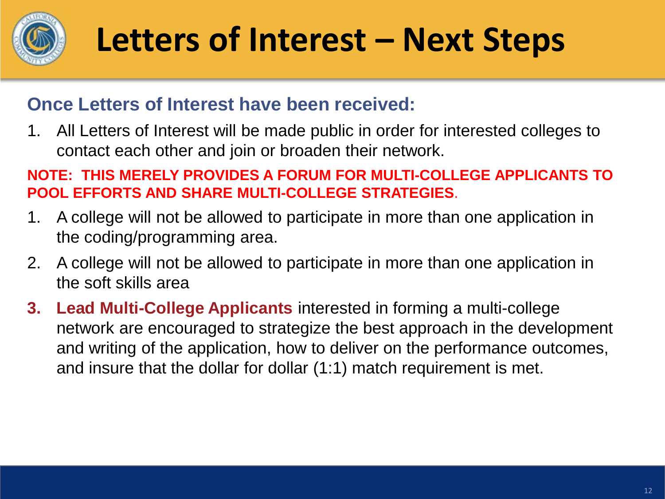

# **Letters of Interest – Next Steps**

#### **Once Letters of Interest have been received:**

1. All Letters of Interest will be made public in order for interested colleges to contact each other and join or broaden their network.

#### **NOTE: THIS MERELY PROVIDES A FORUM FOR MULTI-COLLEGE APPLICANTS TO POOL EFFORTS AND SHARE MULTI-COLLEGE STRATEGIES**.

- 1. A college will not be allowed to participate in more than one application in the coding/programming area.
- 2. A college will not be allowed to participate in more than one application in the soft skills area
- **3. Lead Multi-College Applicants** interested in forming a multi-college network are encouraged to strategize the best approach in the development and writing of the application, how to deliver on the performance outcomes, and insure that the dollar for dollar (1:1) match requirement is met.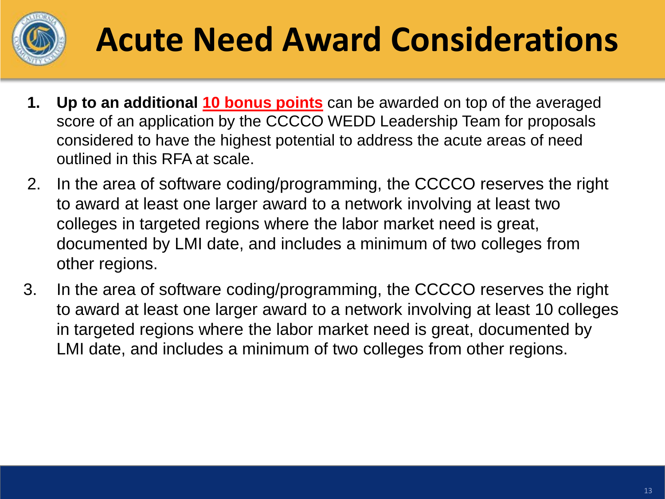

# **Acute Need Award Considerations**

- **1. Up to an additional 10 bonus points** can be awarded on top of the averaged score of an application by the CCCCO WEDD Leadership Team for proposals considered to have the highest potential to address the acute areas of need outlined in this RFA at scale.
- 2. In the area of software coding/programming, the CCCCO reserves the right to award at least one larger award to a network involving at least two colleges in targeted regions where the labor market need is great, documented by LMI date, and includes a minimum of two colleges from other regions.
- 3. In the area of software coding/programming, the CCCCO reserves the right to award at least one larger award to a network involving at least 10 colleges in targeted regions where the labor market need is great, documented by LMI date, and includes a minimum of two colleges from other regions.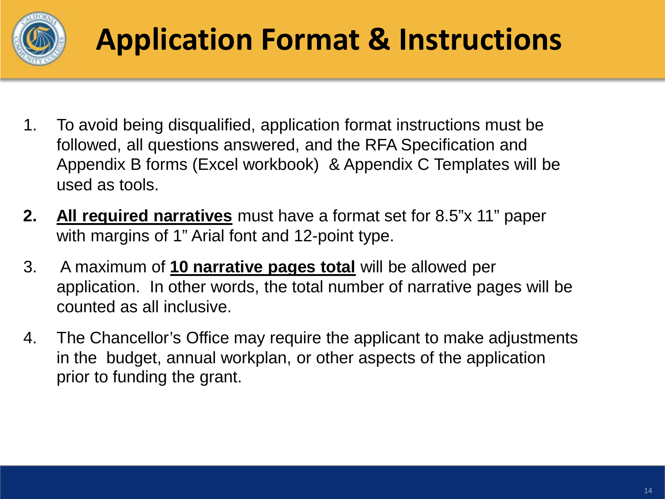

## **Application Format & Instructions**

- 1. To avoid being disqualified, application format instructions must be followed, all questions answered, and the RFA Specification and Appendix B forms (Excel workbook) & Appendix C Templates will be used as tools.
- **2. All required narratives** must have a format set for 8.5"x 11" paper with margins of 1" Arial font and 12-point type.
- 3. A maximum of **10 narrative pages total** will be allowed per application. In other words, the total number of narrative pages will be counted as all inclusive.
- 4. The Chancellor's Office may require the applicant to make adjustments in the budget, annual workplan, or other aspects of the application prior to funding the grant.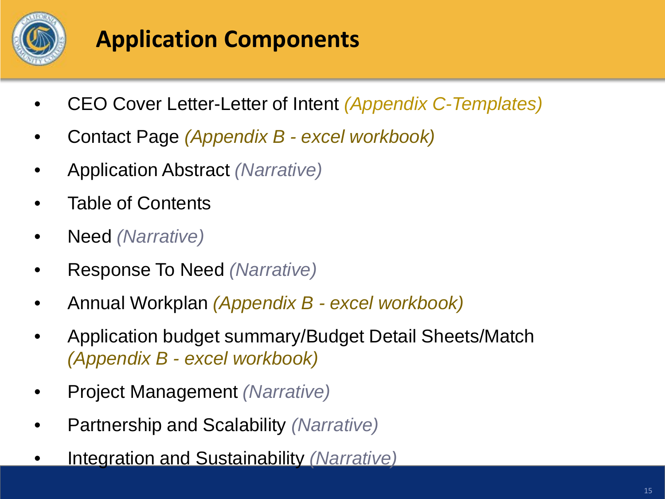

#### **Application Components**

- CEO Cover Letter-Letter of Intent *(Appendix C-Templates)*
- Contact Page *(Appendix B - excel workbook)*
- Application Abstract *(Narrative)*
- Table of Contents
- Need *(Narrative)*
- Response To Need *(Narrative)*
- Annual Workplan *(Appendix B - excel workbook)*
- Application budget summary/Budget Detail Sheets/Match *(Appendix B - excel workbook)*
- Project Management *(Narrative)*
- Partnership and Scalability *(Narrative)*
- Integration and Sustainability *(Narrative)*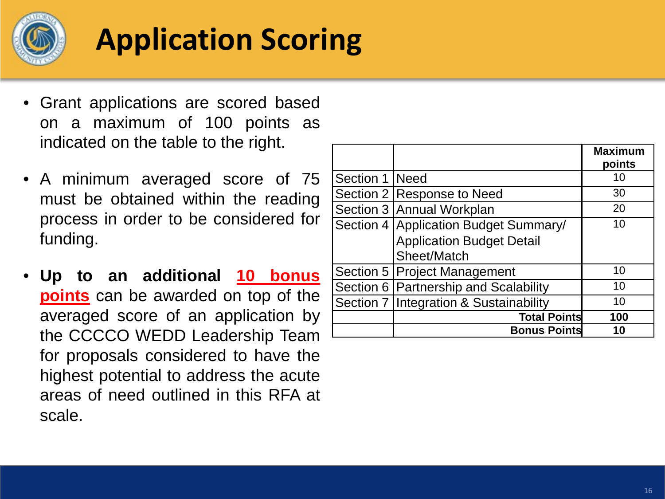

## **Application Scoring**

- Grant applications are scored based on a maximum of 100 points as indicated on the table to the right.
- A minimum averaged score of 75 must be obtained within the reading process in order to be considered for funding.
- **Up to an additional 10 bonus points** can be awarded on top of the averaged score of an application by the CCCCO WEDD Leadership Team for proposals considered to have the highest potential to address the acute areas of need outlined in this RFA at scale.

|                  |                                          | <b>Maximum</b><br>points |
|------------------|------------------------------------------|--------------------------|
| Section 1   Need |                                          | 10                       |
|                  | Section 2 Response to Need               | 30                       |
|                  | Section 3 Annual Workplan                | 20                       |
|                  | Section 4 Application Budget Summary/    | 10                       |
|                  | <b>Application Budget Detail</b>         |                          |
|                  | Sheet/Match                              |                          |
|                  | Section 5   Project Management           | 10                       |
|                  | Section 6   Partnership and Scalability  | 10                       |
|                  | Section 7   Integration & Sustainability | 10                       |
|                  | <b>Total Points</b>                      | 100                      |
|                  | <b>Bonus Points</b>                      | 10                       |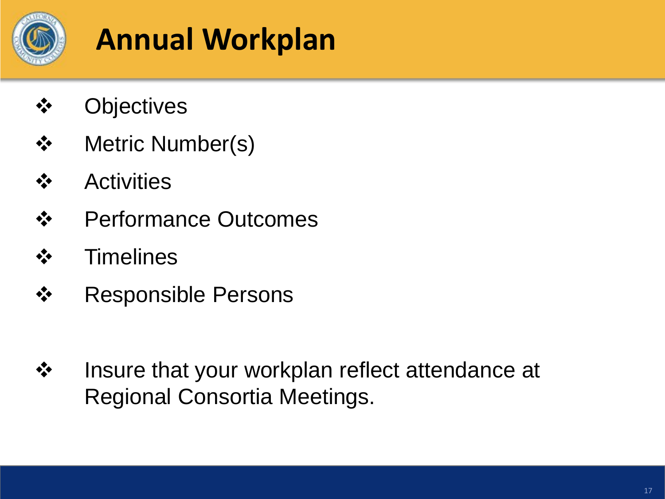

## **Annual Workplan**

- **Objectives**
- **❖** Metric Number(s)
- **❖** Activities
- **❖** Performance Outcomes
- **❖** Timelines
- **❖** Responsible Persons
- **❖** Insure that your workplan reflect attendance at Regional Consortia Meetings.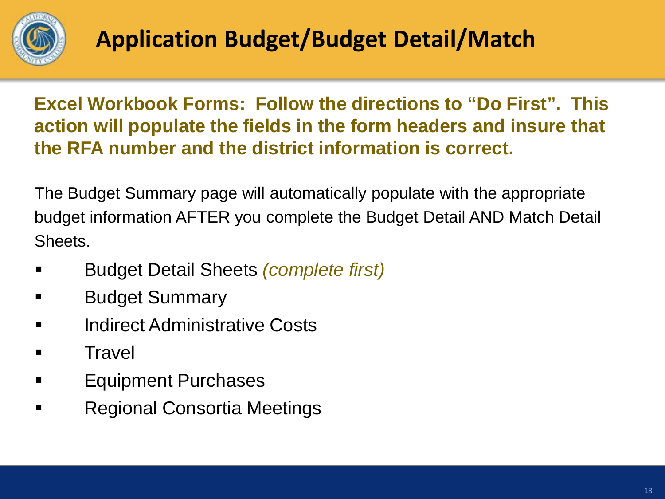

**Excel Workbook Forms: Follow the directions to "Do First". This action will populate the fields in the form headers and insure that the RFA number and the district information is correct.** 

The Budget Summary page will automatically populate with the appropriate budget information AFTER you complete the Budget Detail AND Match Detail Sheets.

- Budget Detail Sheets *(complete first)*
- **Budget Summary**
- **E** Indirect Administrative Costs
- **E** Travel
- **Equipment Purchases**
- Regional Consortia Meetings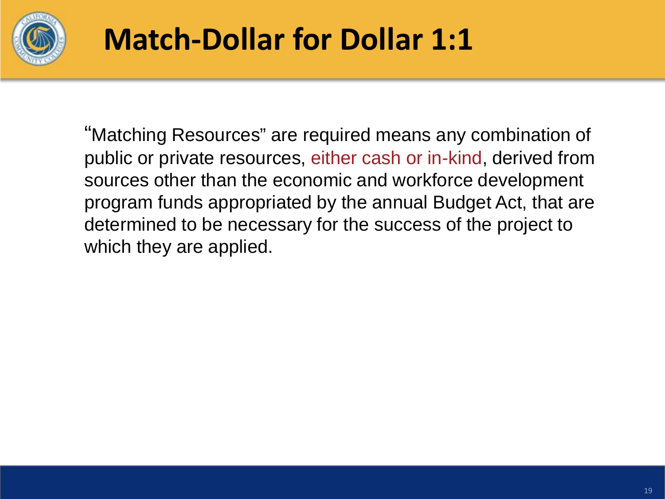

## **Match-Dollar for Dollar 1:1**

"Matching Resources" are required means any combination of public or private resources, either cash or in-kind, derived from sources other than the economic and workforce development program funds appropriated by the annual Budget Act, that are determined to be necessary for the success of the project to which they are applied.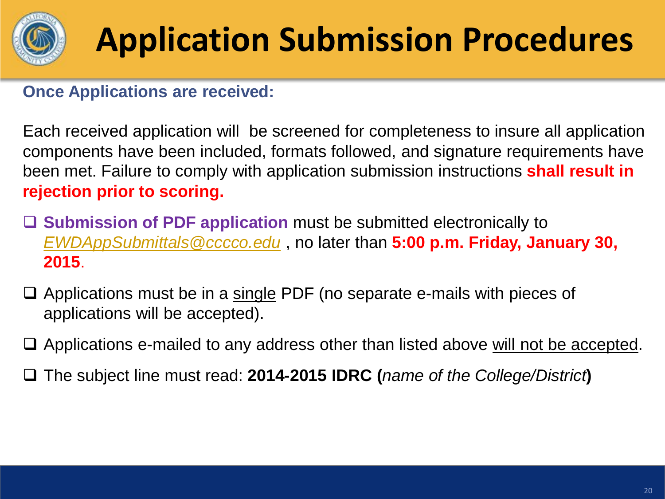

# **Application Submission Procedures**

#### **Once Applications are received:**

Each received application will be screened for completeness to insure all application components have been included, formats followed, and signature requirements have been met. Failure to comply with application submission instructions **shall result in rejection prior to scoring.** 

- **Submission of PDF application** must be submitted electronically to *[EWDAppSubmittals@cccco.edu](mailto:EWDAppSubmittals@cccco.edu)* , no later than **5:00 p.m. Friday, January 30, 2015**.
- $\Box$  Applications must be in a single PDF (no separate e-mails with pieces of applications will be accepted).
- $\Box$  Applications e-mailed to any address other than listed above will not be accepted.
- The subject line must read: **2014-2015 IDRC (***name of the College/District***)**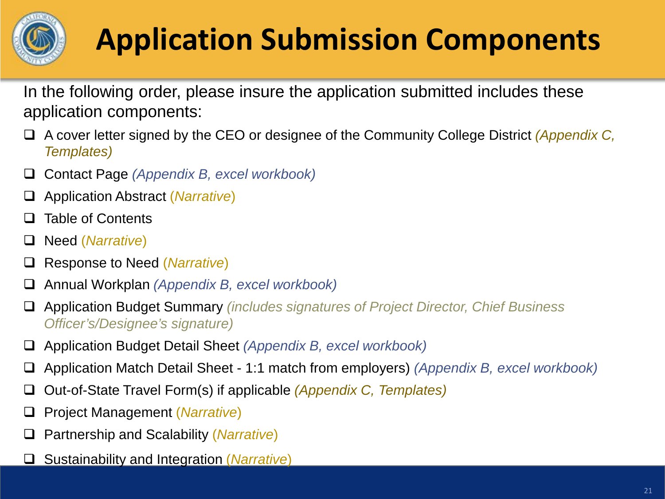

# **Application Submission Components**

In the following order, please insure the application submitted includes these application components:

- A cover letter signed by the CEO or designee of the Community College District *(Appendix C, Templates)*
- Contact Page *(Appendix B, excel workbook)*
- Application Abstract (*Narrative*)
- **Q** Table of Contents
- Need (*Narrative*)
- Response to Need (*Narrative*)
- Annual Workplan *(Appendix B, excel workbook)*
- Application Budget Summary *(includes signatures of Project Director, Chief Business Officer's/Designee's signature)*
- Application Budget Detail Sheet *(Appendix B, excel workbook)*
- Application Match Detail Sheet 1:1 match from employers) *(Appendix B, excel workbook)*
- Out-of-State Travel Form(s) if applicable *(Appendix C, Templates)*
- Project Management (*Narrative*)
- Partnership and Scalability (*Narrative*)
- Sustainability and Integration (*Narrative*)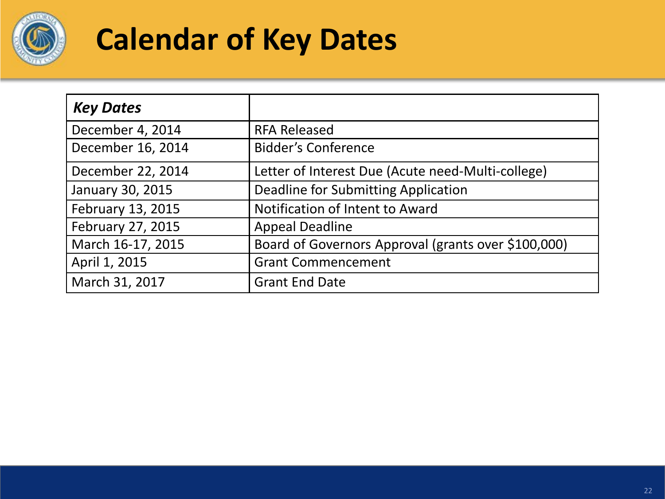

## **Calendar of Key Dates**

| <b>Key Dates</b>  |                                                     |
|-------------------|-----------------------------------------------------|
| December 4, 2014  | <b>RFA Released</b>                                 |
| December 16, 2014 | <b>Bidder's Conference</b>                          |
| December 22, 2014 | Letter of Interest Due (Acute need-Multi-college)   |
| January 30, 2015  | Deadline for Submitting Application                 |
| February 13, 2015 | Notification of Intent to Award                     |
| February 27, 2015 | <b>Appeal Deadline</b>                              |
| March 16-17, 2015 | Board of Governors Approval (grants over \$100,000) |
| April 1, 2015     | <b>Grant Commencement</b>                           |
| March 31, 2017    | <b>Grant End Date</b>                               |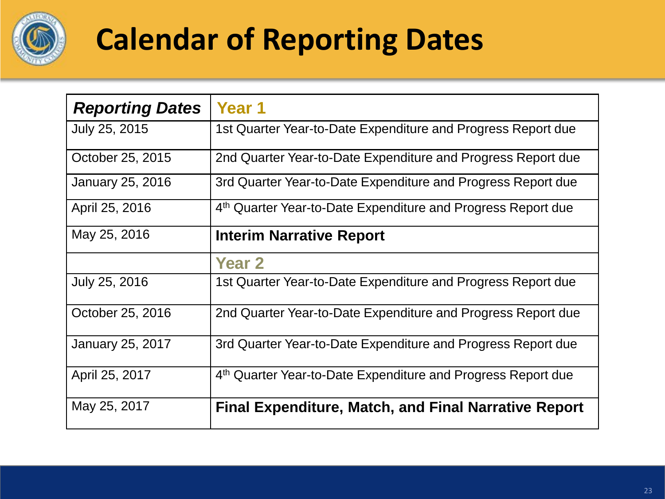

## **Calendar of Reporting Dates**

| <b>Reporting Dates</b>  | Year 1                                                                   |
|-------------------------|--------------------------------------------------------------------------|
| July 25, 2015           | 1st Quarter Year-to-Date Expenditure and Progress Report due             |
| October 25, 2015        | 2nd Quarter Year-to-Date Expenditure and Progress Report due             |
| January 25, 2016        | 3rd Quarter Year-to-Date Expenditure and Progress Report due             |
| April 25, 2016          | 4 <sup>th</sup> Quarter Year-to-Date Expenditure and Progress Report due |
| May 25, 2016            | Interim Narrative Report                                                 |
|                         | <b>Year 2</b>                                                            |
| July 25, 2016           | 1st Quarter Year-to-Date Expenditure and Progress Report due             |
| October 25, 2016        | 2nd Quarter Year-to-Date Expenditure and Progress Report due             |
| <b>January 25, 2017</b> | 3rd Quarter Year-to-Date Expenditure and Progress Report due             |
| April 25, 2017          | 4th Quarter Year-to-Date Expenditure and Progress Report due             |
| May 25, 2017            | <b>Final Expenditure, Match, and Final Narrative Report</b>              |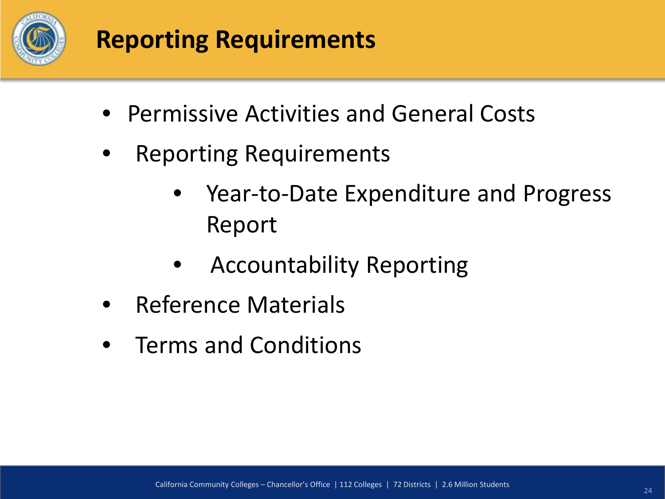

#### **Reporting Requirements**

- Permissive Activities and General Costs
- **Reporting Requirements** 
	- Year-to-Date Expenditure and Progress Report
	- Accountability Reporting
- Reference Materials
- Terms and Conditions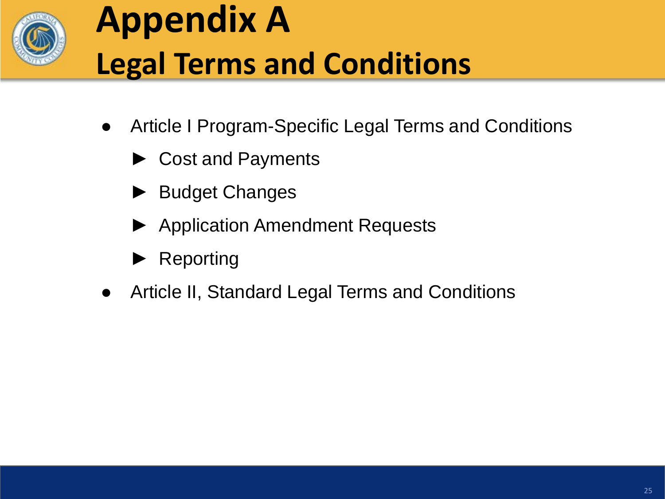

# **Appendix A Legal Terms and Conditions**

- Article I Program-Specific Legal Terms and Conditions
	- ► Cost and Payments
	- ► Budget Changes
	- ► Application Amendment Requests
	- **Reporting**
- Article II, Standard Legal Terms and Conditions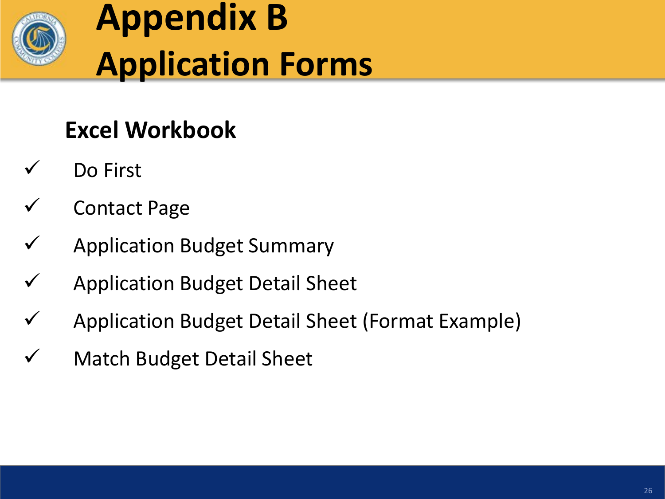

# **Appendix B Application Forms**

#### **Excel Workbook**

- Do First
- Contact Page
- Application Budget Summary
- Application Budget Detail Sheet
- Application Budget Detail Sheet (Format Example)
- Match Budget Detail Sheet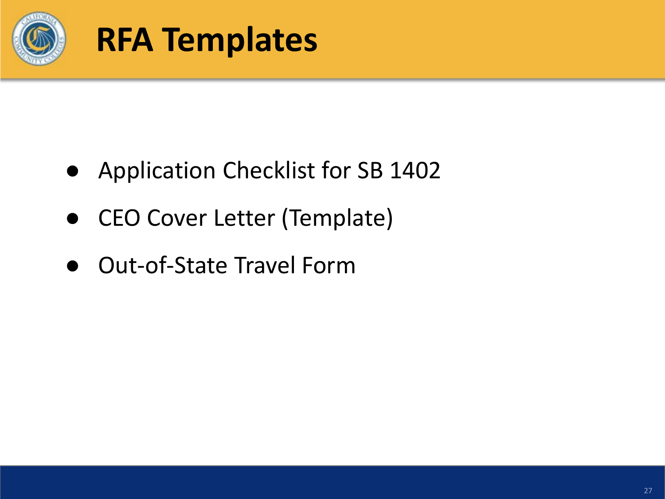

### **RFA Templates**

- Application Checklist for SB 1402
- CEO Cover Letter (Template)
- Out-of-State Travel Form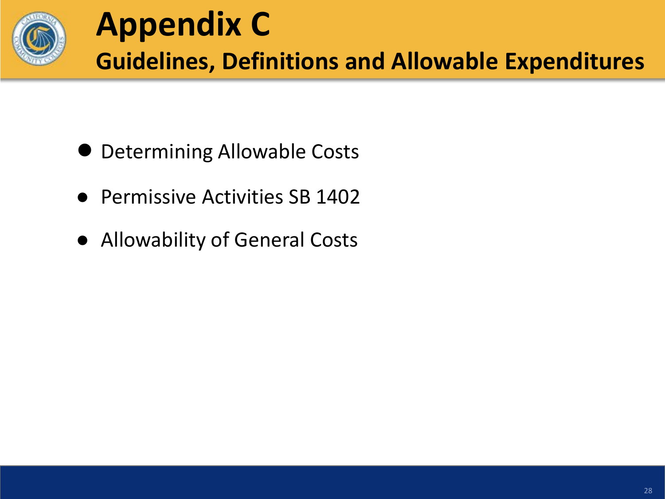

- Determining Allowable Costs
- **Permissive Activities SB 1402**
- Allowability of General Costs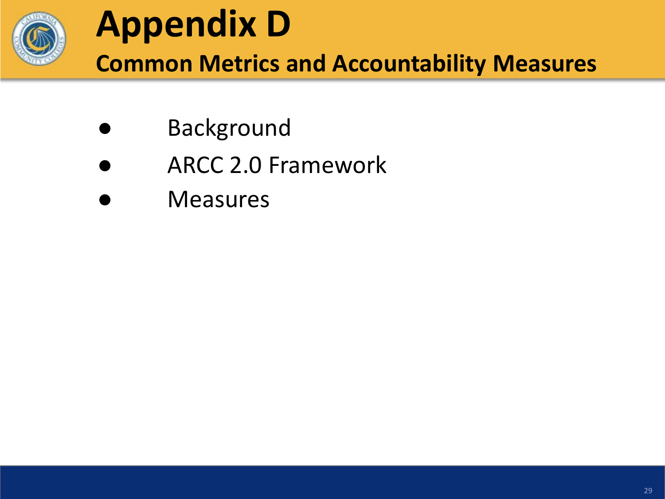

# **Appendix D**

**Common Metrics and Accountability Measures**

- **Background**
- ARCC 2.0 Framework
- **Measures**